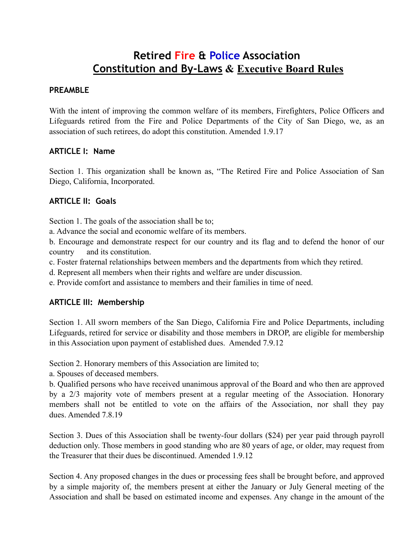# **Retired Fire & Police Association Constitution and By-Laws & Executive Board Rules**

#### **PREAMBLE**

With the intent of improving the common welfare of its members, Firefighters, Police Officers and Lifeguards retired from the Fire and Police Departments of the City of San Diego, we, as an association of such retirees, do adopt this constitution. Amended 1.9.17

#### **ARTICLE I: Name**

Section 1. This organization shall be known as, "The Retired Fire and Police Association of San Diego, California, Incorporated.

#### **ARTICLE II: Goals**

Section 1. The goals of the association shall be to;

a. Advance the social and economic welfare of its members.

b. Encourage and demonstrate respect for our country and its flag and to defend the honor of our country and its constitution.

c. Foster fraternal relationships between members and the departments from which they retired.

d. Represent all members when their rights and welfare are under discussion.

e. Provide comfort and assistance to members and their families in time of need.

#### **ARTICLE III: Membership**

Section 1. All sworn members of the San Diego, California Fire and Police Departments, including Lifeguards, retired for service or disability and those members in DROP, are eligible for membership in this Association upon payment of established dues. Amended 7.9.12

Section 2. Honorary members of this Association are limited to;

a. Spouses of deceased members.

b. Qualified persons who have received unanimous approval of the Board and who then are approved by a 2/3 majority vote of members present at a regular meeting of the Association. Honorary members shall not be entitled to vote on the affairs of the Association, nor shall they pay dues. Amended 7.8.19

Section 3. Dues of this Association shall be twenty-four dollars (\$24) per year paid through payroll deduction only. Those members in good standing who are 80 years of age, or older, may request from the Treasurer that their dues be discontinued. Amended 1.9.12

Section 4. Any proposed changes in the dues or processing fees shall be brought before, and approved by a simple majority of, the members present at either the January or July General meeting of the Association and shall be based on estimated income and expenses. Any change in the amount of the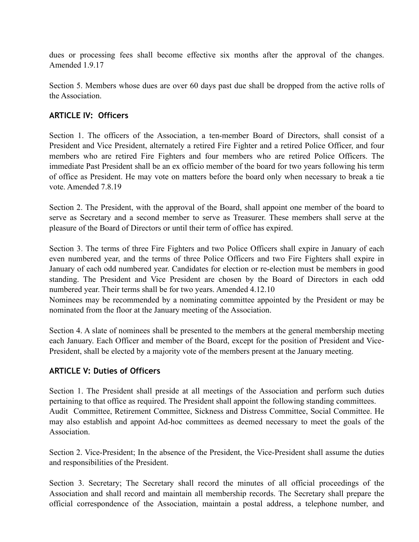dues or processing fees shall become effective six months after the approval of the changes. Amended 1.9.17

Section 5. Members whose dues are over 60 days past due shall be dropped from the active rolls of the Association.

### **ARTICLE IV: Officers**

Section 1. The officers of the Association, a ten-member Board of Directors, shall consist of a President and Vice President, alternately a retired Fire Fighter and a retired Police Officer, and four members who are retired Fire Fighters and four members who are retired Police Officers. The immediate Past President shall be an ex officio member of the board for two years following his term of office as President. He may vote on matters before the board only when necessary to break a tie vote. Amended 7.8.19

Section 2. The President, with the approval of the Board, shall appoint one member of the board to serve as Secretary and a second member to serve as Treasurer. These members shall serve at the pleasure of the Board of Directors or until their term of office has expired.

Section 3. The terms of three Fire Fighters and two Police Officers shall expire in January of each even numbered year, and the terms of three Police Officers and two Fire Fighters shall expire in January of each odd numbered year. Candidates for election or re-election must be members in good standing. The President and Vice President are chosen by the Board of Directors in each odd numbered year. Their terms shall be for two years. Amended 4.12.10

Nominees may be recommended by a nominating committee appointed by the President or may be nominated from the floor at the January meeting of the Association.

Section 4. A slate of nominees shall be presented to the members at the general membership meeting each January. Each Officer and member of the Board, except for the position of President and Vice-President, shall be elected by a majority vote of the members present at the January meeting.

#### **ARTICLE V: Duties of Officers**

Section 1. The President shall preside at all meetings of the Association and perform such duties pertaining to that office as required. The President shall appoint the following standing committees. Audit Committee, Retirement Committee, Sickness and Distress Committee, Social Committee. He may also establish and appoint Ad-hoc committees as deemed necessary to meet the goals of the Association.

Section 2. Vice-President; In the absence of the President, the Vice-President shall assume the duties and responsibilities of the President.

Section 3. Secretary; The Secretary shall record the minutes of all official proceedings of the Association and shall record and maintain all membership records. The Secretary shall prepare the official correspondence of the Association, maintain a postal address, a telephone number, and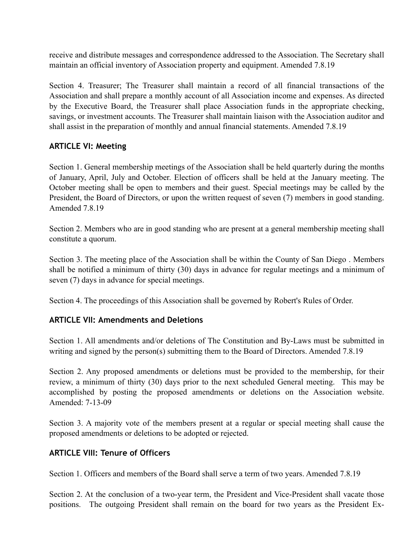receive and distribute messages and correspondence addressed to the Association. The Secretary shall maintain an official inventory of Association property and equipment. Amended 7.8.19

Section 4. Treasurer; The Treasurer shall maintain a record of all financial transactions of the Association and shall prepare a monthly account of all Association income and expenses. As directed by the Executive Board, the Treasurer shall place Association funds in the appropriate checking, savings, or investment accounts. The Treasurer shall maintain liaison with the Association auditor and shall assist in the preparation of monthly and annual financial statements. Amended 7.8.19

#### **ARTICLE VI: Meeting**

Section 1. General membership meetings of the Association shall be held quarterly during the months of January, April, July and October. Election of officers shall be held at the January meeting. The October meeting shall be open to members and their guest. Special meetings may be called by the President, the Board of Directors, or upon the written request of seven (7) members in good standing. Amended 7.8.19

Section 2. Members who are in good standing who are present at a general membership meeting shall constitute a quorum.

Section 3. The meeting place of the Association shall be within the County of San Diego . Members shall be notified a minimum of thirty (30) days in advance for regular meetings and a minimum of seven (7) days in advance for special meetings.

Section 4. The proceedings of this Association shall be governed by Robert's Rules of Order.

#### **ARTICLE VII: Amendments and Deletions**

Section 1. All amendments and/or deletions of The Constitution and By-Laws must be submitted in writing and signed by the person(s) submitting them to the Board of Directors. Amended 7.8.19

Section 2. Any proposed amendments or deletions must be provided to the membership, for their review, a minimum of thirty (30) days prior to the next scheduled General meeting. This may be accomplished by posting the proposed amendments or deletions on the Association website. Amended: 7-13-09

Section 3. A majority vote of the members present at a regular or special meeting shall cause the proposed amendments or deletions to be adopted or rejected.

#### **ARTICLE VIII: Tenure of Officers**

Section 1. Officers and members of the Board shall serve a term of two years. Amended 7.8.19

Section 2. At the conclusion of a two-year term, the President and Vice-President shall vacate those positions. The outgoing President shall remain on the board for two years as the President Ex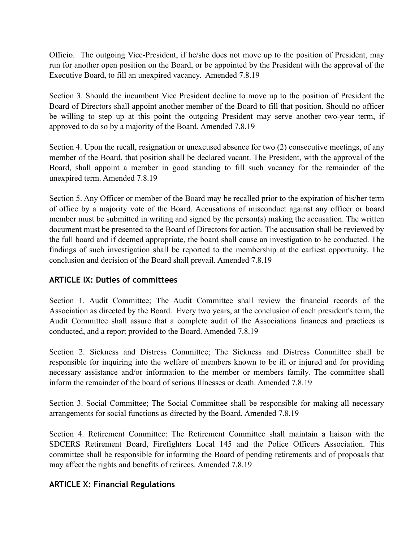Officio. The outgoing Vice-President, if he/she does not move up to the position of President, may run for another open position on the Board, or be appointed by the President with the approval of the Executive Board, to fill an unexpired vacancy. Amended 7.8.19

Section 3. Should the incumbent Vice President decline to move up to the position of President the Board of Directors shall appoint another member of the Board to fill that position. Should no officer be willing to step up at this point the outgoing President may serve another two-year term, if approved to do so by a majority of the Board. Amended 7.8.19

Section 4. Upon the recall, resignation or unexcused absence for two (2) consecutive meetings, of any member of the Board, that position shall be declared vacant. The President, with the approval of the Board, shall appoint a member in good standing to fill such vacancy for the remainder of the unexpired term. Amended 7.8.19

Section 5. Any Officer or member of the Board may be recalled prior to the expiration of his/her term of office by a majority vote of the Board. Accusations of misconduct against any officer or board member must be submitted in writing and signed by the person(s) making the accusation. The written document must be presented to the Board of Directors for action. The accusation shall be reviewed by the full board and if deemed appropriate, the board shall cause an investigation to be conducted. The findings of such investigation shall be reported to the membership at the earliest opportunity. The conclusion and decision of the Board shall prevail. Amended 7.8.19

#### **ARTICLE IX: Duties of committees**

Section 1. Audit Committee; The Audit Committee shall review the financial records of the Association as directed by the Board. Every two years, at the conclusion of each president's term, the Audit Committee shall assure that a complete audit of the Associations finances and practices is conducted, and a report provided to the Board. Amended 7.8.19

Section 2. Sickness and Distress Committee; The Sickness and Distress Committee shall be responsible for inquiring into the welfare of members known to be ill or injured and for providing necessary assistance and/or information to the member or members family. The committee shall inform the remainder of the board of serious Illnesses or death. Amended 7.8.19

Section 3. Social Committee; The Social Committee shall be responsible for making all necessary arrangements for social functions as directed by the Board. Amended 7.8.19

Section 4. Retirement Committee: The Retirement Committee shall maintain a liaison with the SDCERS Retirement Board, Firefighters Local 145 and the Police Officers Association. This committee shall be responsible for informing the Board of pending retirements and of proposals that may affect the rights and benefits of retirees. Amended 7.8.19

#### **ARTICLE X: Financial Regulations**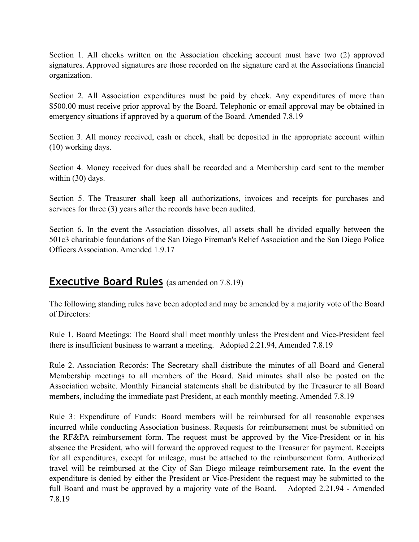Section 1. All checks written on the Association checking account must have two (2) approved signatures. Approved signatures are those recorded on the signature card at the Associations financial organization.

Section 2. All Association expenditures must be paid by check. Any expenditures of more than \$500.00 must receive prior approval by the Board. Telephonic or email approval may be obtained in emergency situations if approved by a quorum of the Board. Amended 7.8.19

Section 3. All money received, cash or check, shall be deposited in the appropriate account within (10) working days.

Section 4. Money received for dues shall be recorded and a Membership card sent to the member within (30) days.

Section 5. The Treasurer shall keep all authorizations, invoices and receipts for purchases and services for three (3) years after the records have been audited.

Section 6. In the event the Association dissolves, all assets shall be divided equally between the 501c3 charitable foundations of the San Diego Fireman's Relief Association and the San Diego Police Officers Association. Amended 1.9.17

## **Executive Board Rules** (as amended on 7.8.19)

The following standing rules have been adopted and may be amended by a majority vote of the Board of Directors:

Rule 1. Board Meetings: The Board shall meet monthly unless the President and Vice-President feel there is insufficient business to warrant a meeting. Adopted 2.21.94, Amended 7.8.19

Rule 2. Association Records: The Secretary shall distribute the minutes of all Board and General Membership meetings to all members of the Board. Said minutes shall also be posted on the Association website. Monthly Financial statements shall be distributed by the Treasurer to all Board members, including the immediate past President, at each monthly meeting. Amended 7.8.19

Rule 3: Expenditure of Funds: Board members will be reimbursed for all reasonable expenses incurred while conducting Association business. Requests for reimbursement must be submitted on the RF&PA reimbursement form. The request must be approved by the Vice-President or in his absence the President, who will forward the approved request to the Treasurer for payment. Receipts for all expenditures, except for mileage, must be attached to the reimbursement form. Authorized travel will be reimbursed at the City of San Diego mileage reimbursement rate. In the event the expenditure is denied by either the President or Vice-President the request may be submitted to the full Board and must be approved by a majority vote of the Board. Adopted 2.21.94 - Amended 7.8.19